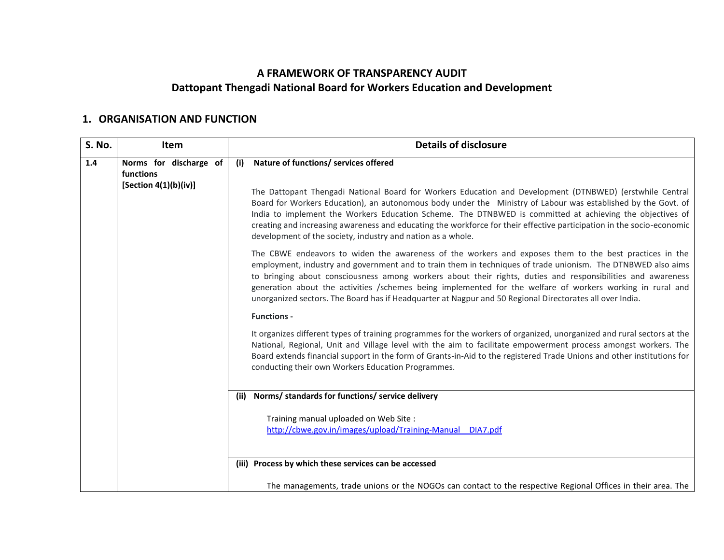## **A FRAMEWORK OF TRANSPARENCY AUDIT Dattopant Thengadi National Board for Workers Education and Development**

## **1. ORGANISATION AND FUNCTION**

| S. No. | <b>Item</b>                         | <b>Details of disclosure</b>                                                                                                                                                                                                                                                                                                                                                                                                                                                                                                                                    |
|--------|-------------------------------------|-----------------------------------------------------------------------------------------------------------------------------------------------------------------------------------------------------------------------------------------------------------------------------------------------------------------------------------------------------------------------------------------------------------------------------------------------------------------------------------------------------------------------------------------------------------------|
| 1.4    | Norms for discharge of<br>functions | Nature of functions/ services offered<br>(i)                                                                                                                                                                                                                                                                                                                                                                                                                                                                                                                    |
|        | [Section $4(1)(b)(iv)$ ]            | The Dattopant Thengadi National Board for Workers Education and Development (DTNBWED) (erstwhile Central<br>Board for Workers Education), an autonomous body under the Ministry of Labour was established by the Govt. of<br>India to implement the Workers Education Scheme. The DTNBWED is committed at achieving the objectives of<br>creating and increasing awareness and educating the workforce for their effective participation in the socio-economic<br>development of the society, industry and nation as a whole.                                   |
|        |                                     | The CBWE endeavors to widen the awareness of the workers and exposes them to the best practices in the<br>employment, industry and government and to train them in techniques of trade unionism. The DTNBWED also aims<br>to bringing about consciousness among workers about their rights, duties and responsibilities and awareness<br>generation about the activities /schemes being implemented for the welfare of workers working in rural and<br>unorganized sectors. The Board has if Headquarter at Nagpur and 50 Regional Directorates all over India. |
|        |                                     | <b>Functions -</b>                                                                                                                                                                                                                                                                                                                                                                                                                                                                                                                                              |
|        |                                     | It organizes different types of training programmes for the workers of organized, unorganized and rural sectors at the<br>National, Regional, Unit and Village level with the aim to facilitate empowerment process amongst workers. The<br>Board extends financial support in the form of Grants-in-Aid to the registered Trade Unions and other institutions for<br>conducting their own Workers Education Programmes.                                                                                                                                        |
|        |                                     | (ii) Norms/ standards for functions/ service delivery                                                                                                                                                                                                                                                                                                                                                                                                                                                                                                           |
|        |                                     | Training manual uploaded on Web Site :<br>http://cbwe.gov.in/images/upload/Training-Manual DIA7.pdf                                                                                                                                                                                                                                                                                                                                                                                                                                                             |
|        |                                     | (iii) Process by which these services can be accessed                                                                                                                                                                                                                                                                                                                                                                                                                                                                                                           |
|        |                                     | The managements, trade unions or the NOGOs can contact to the respective Regional Offices in their area. The                                                                                                                                                                                                                                                                                                                                                                                                                                                    |